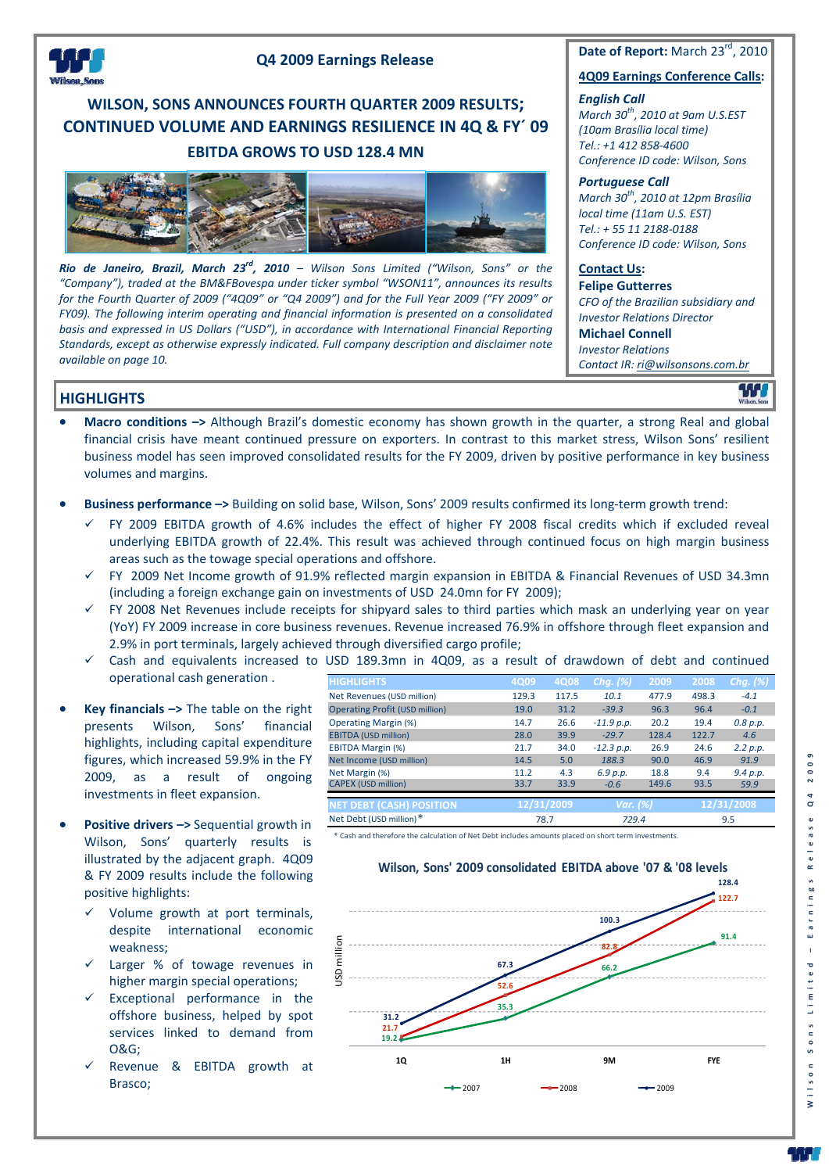

### **Q4 2009 Earnings Release**

## **WILSON, SONS ANNOUNCES FOURTH QUARTER 2009 RESULTS; CONTINUED VOLUME AND EARNINGS RESILIENCE IN 4Q & FY´ 09 EBITDA GROWS TO USD 128.4 MN**



*Rio de Janeiro, Brazil, March 23rd, 2010 – Wilson Sons Limited ("Wilson, Sons" or the "Company"), traded at the BM&FBovespa under ticker symbol "WSON11", announces its results* for the Fourth Quarter of 2009 ("4Q09" or "Q4 2009") and for the Full Year 2009 ("FY 2009" or *FY09). The following interim operating and financial information is presented on a consolidated basis and expressed in US Dollars ("USD"), in accordance with International Financial Reporting Standards, except as otherwise expressly indicated. Full company description and disclaimer note available on page 10.*

**Date of Report:** March 23<sup>rd</sup>, 2010

#### **4Q09 Earnings Conference Calls:**

*English Call March 30th, 2010 at 9am U.S.EST*

*(10am Brasília local time) Tel.: +1 412 858‐4600 Conference ID code: Wilson, Sons*

#### *Portuguese Call*

*March 30th, 2010 at 12pm Brasília local time (11am U.S. EST) Tel.: + 55 11 2188‐0188 Conference ID code: Wilson, Sons*

## **Contact Us:**

**Felipe Gutterres** *CFO of the Brazilian subsidiary and Investor Relations Director* **Michael Connell** *Investor Relations Contact IR: ri@wilsonsons.com.br*

**THE** 

## **HIGHLIGHTS**

- **Macro conditions –>** Although Brazil's domestic economy has shown growth in the quarter, a strong Real and global financial crisis have meant continued pressure on exporters. In contrast to this market stress, Wilson Sons' resilient business model has seen improved consolidated results for the FY 2009, driven by positive performance in key business volumes and margins.
- **Business performance –>** Building on solid base, Wilson, Sons' <sup>2009</sup> results confirmed its long‐term growth trend:
	- FY 2009 EBITDA growth of 4.6% includes the effect of higher FY 2008 fiscal credits which if excluded reveal underlying EBITDA growth of 22.4%. This result was achieved through continued focus on high margin business areas such as the towage special operations and offshore.
	- FY 2009 Net Income growth of 91.9% reflected margin expansion in EBITDA & Financial Revenues of USD 34.3mn (including a foreign exchange gain on investments of USD 24.0mn for FY 2009);
	- FY 2008 Net Revenues include receipts for shipyard sales to third parties which mask an underlying year on year (YoY) FY 2009 increase in core business revenues. Revenue increased 76.9% in offshore through fleet expansion and 2.9% in port terminals, largely achieved through diversified cargo profile;
	- Cash and equivalents increased to USD 189.3mn in 4Q09, as a result of drawdown of debt and continued operational cash generation .
- **Key financials –>** The table on the right presents Wilson, Sons' financial highlights, including capital expenditure figures, which increased 59.9% in the FY 2009, as a result of ongoing investments in fleet expansion.
- **Positive drivers –>** Sequential growth in Wilson, Sons' quarterly results is illustrated by the adjacent graph. 4Q09 & FY 2009 results include the following positive highlights:
	- Volume growth at port terminals, despite international economic weakness;
	- Larger % of towage revenues in higher margin special operations;
	- Exceptional performance in the offshore business, helped by spot services linked to demand from O&G;
	- Revenue & EBITDA growth at Brasco;

| <b>HIGHLIGHTS</b>                     | 4Q09  | 4Q08       | Chg. $(\%)$  | 2009     | 2008  | Chg. $(\%)$ |  |
|---------------------------------------|-------|------------|--------------|----------|-------|-------------|--|
| Net Revenues (USD million)            | 129.3 | 117.5      | 10.1         | 477.9    | 498.3 | $-4.1$      |  |
| <b>Operating Profit (USD million)</b> | 19.0  | 31.2       | $-39.3$      | 96.3     | 96.4  | $-0.1$      |  |
| <b>Operating Margin (%)</b>           | 14.7  | 26.6       | $-11.9 p.p.$ | 20.2     | 19.4  | 0.8 p.p.    |  |
| <b>EBITDA (USD million)</b>           | 28.0  | 39.9       | $-29.7$      | 128.4    | 122.7 | 4.6         |  |
| <b>EBITDA Margin (%)</b>              | 21.7  | 34.0       | $-12.3 p.p.$ | 26.9     | 24.6  | 2.2 p.p.    |  |
| Net Income (USD million)              | 14.5  | 5.0        | 188.3        | 90.0     | 46.9  | 91.9        |  |
| Net Margin (%)                        | 11.2  | 4.3        | 6.9 p.p.     | 18.8     | 9.4   | 9.4 p.p.    |  |
| <b>CAPEX (USD million)</b>            | 33.7  | 33.9       | $-0.6$       | 149.6    | 93.5  | 59.9        |  |
|                                       |       |            |              |          |       |             |  |
| <b>NET DEBT (CASH) POSITION</b>       |       | 12/31/2009 |              | Var. (%) |       | 12/31/2008  |  |
| Net Debt (USD million)*               |       | 78.7       |              | 729.4    |       | 9.5         |  |

\* Cash and therefore the calculation of Net Debt includes amounts placed on short term investments.



- 50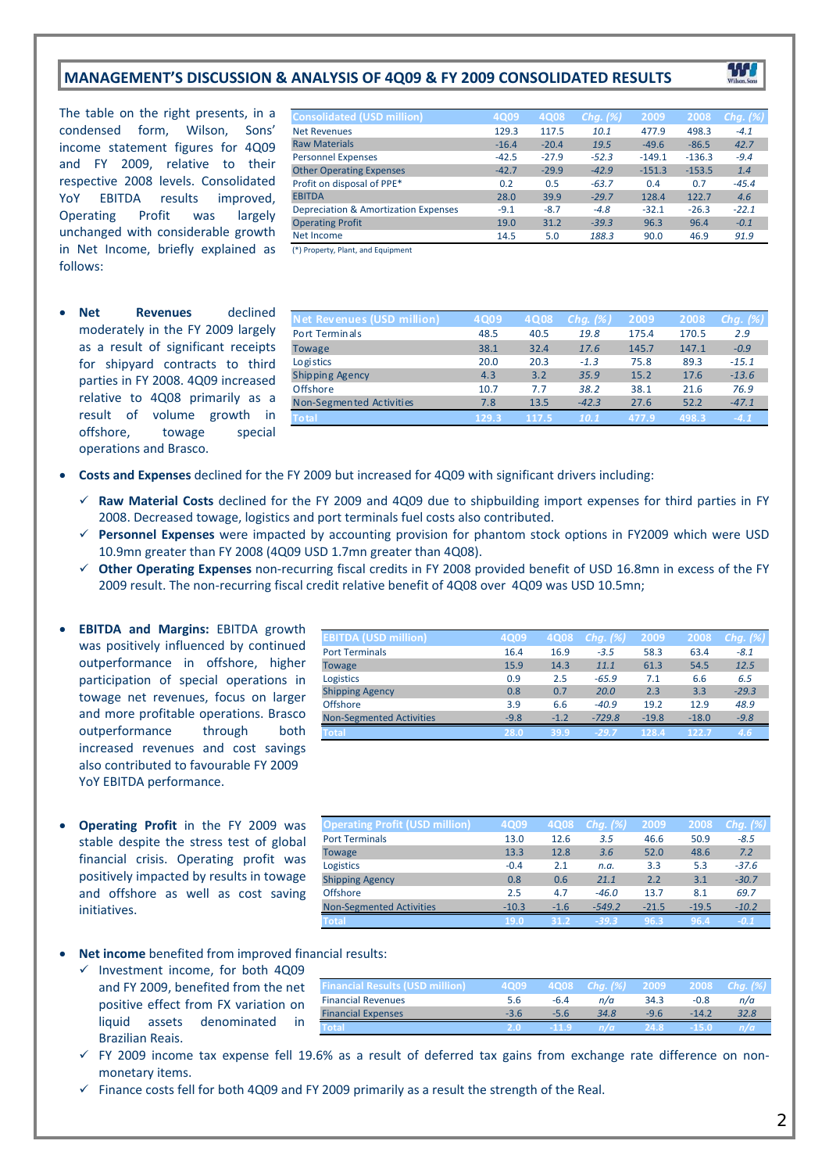## **MANAGEMENT'S DISCUSSION & ANALYSIS OF 4Q09 & FY 2009 CONSOLIDATED RESULTS**

**Consolidated (USD million) 4Q09 4Q08** *Chg. (%)* **2009 2008** *Chg. (%)*

The table on the right presents, in a condensed form, Wilson, Sons' income statement figures for 4Q09 and FY 2009, relative to their respective 2008 levels. Consolidated YoY EBITDA results improved, Operating Profit was largely unchanged with considerable growth in Net Income, briefly explained as follows:

 **Net Revenues** declined moderately in the FY 2009 largely as a result of significant receipts for shipyard contracts to third parties in FY 2008. 4Q09 increased relative to 4Q08 primarily as a result of volume growth in offshore, towage special operations and Brasco.

| <b>Net Revenues</b>                  | 129.3   | 117.5   | 10.1    | 477.9    | 498.3    | $-4.1$  |
|--------------------------------------|---------|---------|---------|----------|----------|---------|
| <b>Raw Materials</b>                 | $-16.4$ | $-20.4$ | 19.5    | $-49.6$  | $-86.5$  | 42.7    |
| <b>Personnel Expenses</b>            | $-42.5$ | $-27.9$ | $-52.3$ | $-149.1$ | $-136.3$ | $-9.4$  |
| <b>Other Operating Expenses</b>      | $-42.7$ | $-29.9$ | $-42.9$ | $-151.3$ | $-153.5$ | 1.4     |
| Profit on disposal of PPE*           | 0.2     | 0.5     | $-63.7$ | 0.4      | 0.7      | $-45.4$ |
| <b>EBITDA</b>                        | 28.0    | 39.9    | $-29.7$ | 128.4    | 122.7    | 4.6     |
| Depreciation & Amortization Expenses | $-9.1$  | $-8.7$  | $-4.8$  | $-32.1$  | $-26.3$  | $-22.1$ |
| <b>Operating Profit</b>              | 19.0    | 31.2    | $-39.3$ | 96.3     | 96.4     | $-0.1$  |
| Net Income                           | 14.5    | 5.0     | 188.3   | 90.0     | 46.9     | 91.9    |
| (*) Property, Plant, and Equipment   |         |         |         |          |          |         |
|                                      |         |         |         |          |          |         |
|                                      |         |         |         |          |          |         |

| <b>Net Revenues (USD million)</b> | 4Q09  | 4Q08  | Chg. (%) | 2009  | 2008  | Chg. $(\%)$ |
|-----------------------------------|-------|-------|----------|-------|-------|-------------|
| Port Terminals                    | 48.5  | 40.5  | 19.8     | 175.4 | 170.5 | 2.9         |
| <b>Towage</b>                     | 38.1  | 32.4  | 17.6     | 145.7 | 147.1 | $-0.9$      |
| Logistics                         | 20.0  | 20.3  | $-1.3$   | 75.8  | 89.3  | $-15.1$     |
| <b>Shipping Agency</b>            | 4.3   | 3.2   | 35.9     | 15.2  | 17.6  | $-13.6$     |
| Offshore                          | 10.7  | 7.7   | 38.2     | 38.1  | 21.6  | 76.9        |
| Non-Segmented Activities          | 7.8   | 13.5  | $-42.3$  | 27.6  | 52.2  | $-47.1$     |
| <b>Total</b>                      | 129.3 | 117.5 | 10.1     | 477.9 | 498.3 | $-4.1$      |

**Costs and Expenses** declined for the FY 2009 but increased for 4Q09 with significant drivers including:

- **Raw Material Costs** declined for the FY 2009 and 4Q09 due to shipbuilding import expenses for third parties in FY 2008. Decreased towage, logistics and port terminals fuel costs also contributed.
- **Personnel Expenses** were impacted by accounting provision for phantom stock options in FY2009 which were USD 10.9mn greater than FY 2008 (4Q09 USD 1.7mn greater than 4Q08).
- **Other Operating Expenses** non‐recurring fiscal credits in FY 2008 provided benefit of USD 16.8mn in excess of the FY 2009 result. The non‐recurring fiscal credit relative benefit of 4Q08 over 4Q09 was USD 10.5mn;
- **EBITDA and Margins:** EBITDA growth was positively influenced by continued outperformance in offshore, higher participation of special operations in towage net revenues, focus on larger and more profitable operations. Brasco outperformance through both increased revenues and cost savings also contributed to favourable FY 2009 YoY EBITDA performance.
- **EBITDA (USD million) 4Q09 4Q08** *Chg. (%)* **2009 2008** *Chg. (%)* Port Terminals 16.4 16.9 *‐3.5* 58.3 63.4 *‐8.1* Towage 15.9 14.3 *11.1* 61.3 54.5 *12.5* Logistics 0.9 2.5 *‐65.9* 7.1 6.6 *6.5* Shipping Agency 0.8 0.7 *20.0* 2.3 3.3 *‐29.3* Offshore 3.9 6.6 *‐40.9* 19.2 12.9 *48.9* Non‐Segmented Activities ‐9.8 ‐1.2 *‐729.8* ‐19.8 ‐18.0 *‐9.8*
- **Operating Profit** in the FY 2009 was stable despite the stress test of global financial crisis. Operating profit was positively impacted by results in towage and offshore as well as cost saving initiatives.

| <b>Operating Profit (USD million)</b> | 4Q09    | 4Q08   | Chg. (%)' | 2009    | 2008    | Chg. (%) |
|---------------------------------------|---------|--------|-----------|---------|---------|----------|
| <b>Port Terminals</b>                 | 13.0    | 12.6   | 3.5       | 46.6    | 50.9    | $-8.5$   |
| <b>Towage</b>                         | 13.3    | 12.8   | 3.6       | 52.0    | 48.6    | 7.2      |
| Logistics                             | $-0.4$  | 2.1    | n.a.      | 3.3     | 5.3     | $-37.6$  |
| <b>Shipping Agency</b>                | 0.8     | 0.6    | 21.1      | 2.2     | 3.1     | $-30.7$  |
| Offshore                              | 2.5     | 4.7    | $-46.0$   | 13.7    | 8.1     | 69.7     |
| <b>Non-Segmented Activities</b>       | $-10.3$ | $-1.6$ | $-549.2$  | $-21.5$ | $-19.5$ | $-10.2$  |
| <b>Total</b>                          | 19.0    | 31.2   | $-39.3$   | 96.3    | 96.4    | $-0.1$   |

#### **Net income** benefited from improved financial results:

 $\checkmark$  Investment income, for both 4Q09 and FY 2009, benefited from the net positive effect from FX variation on liquid assets denominated in Brazilian Reais.

| <b>Financial Results (USD million)</b> | 4Q09 |        | 4Q08 Chg. (%) 2009 |        |         | <b>2008</b> Cha. $(\%)$ |
|----------------------------------------|------|--------|--------------------|--------|---------|-------------------------|
| <b>Financial Revenues</b>              |      | $-6.4$ | n/a                | 34.3   | -0.8    | n/a                     |
| <b>Financial Expenses</b>              |      | -5.6   | 34.8               | $-9.6$ | $-14.2$ | 32.8                    |
| Total                                  |      | -60    | n/a                | 24.8   | -15.0   |                         |

- FY 2009 income tax expense fell 19.6% as a result of deferred tax gains from exchange rate difference on nonmonetary items.
- $\checkmark$  Finance costs fell for both 4Q09 and FY 2009 primarily as a result the strength of the Real.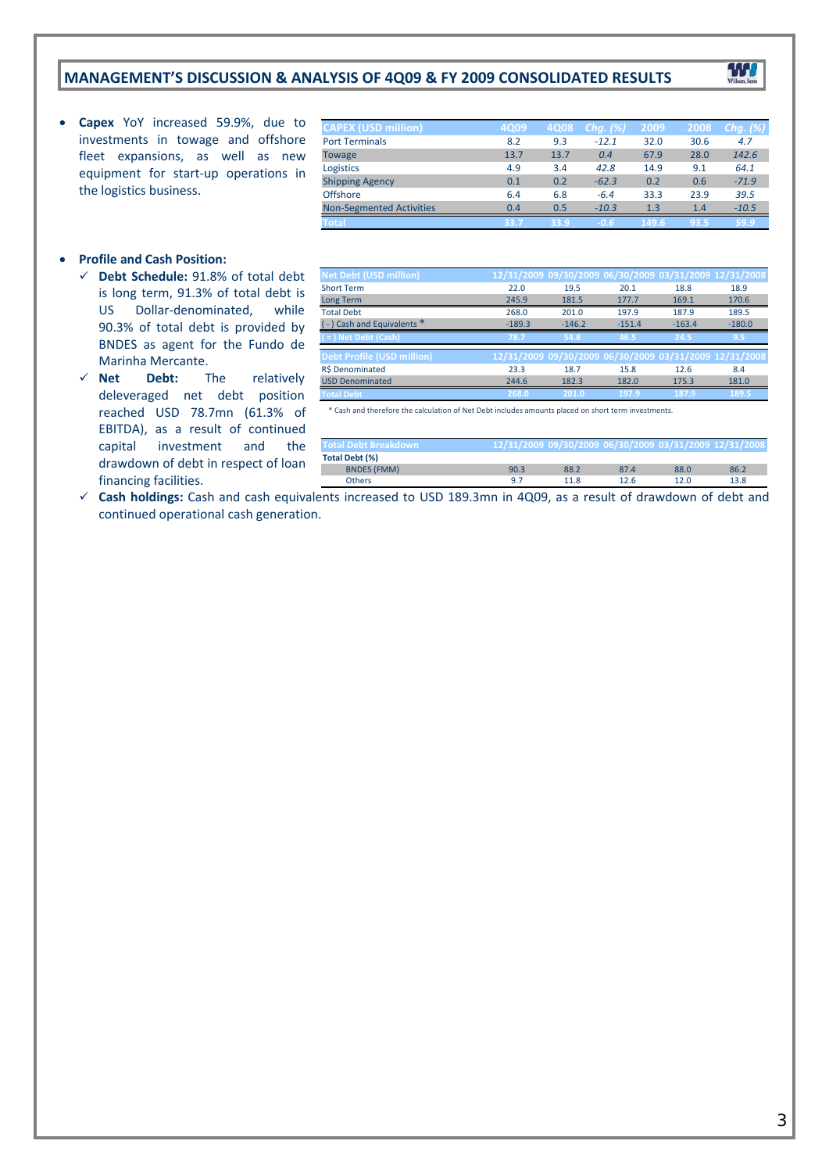## **MANAGEMENT'S DISCUSSION & ANALYSIS OF 4Q09 & FY 2009 CONSOLIDATED RESULTS**

 **Capex** YoY increased 59.9%, due to investments in towage and offshore fleet expansions, as well as new equipment for start‐up operations in the logistics business.

| <b>CAPEX (USD million)</b>      | <b>4Q09</b> | 4Q08 | Chg. $(\%)$ | 2009  | 2008 | Chg. $(\%)$ |
|---------------------------------|-------------|------|-------------|-------|------|-------------|
| <b>Port Terminals</b>           | 8.2         | 9.3  | $-12.1$     | 32.0  | 30.6 | 4.7         |
| <b>Towage</b>                   | 13.7        | 13.7 | 0.4         | 67.9  | 28.0 | 142.6       |
| Logistics                       | 4.9         | 3.4  | 42.8        | 14.9  | 9.1  | 64.1        |
| <b>Shipping Agency</b>          | 0.1         | 0.2  | $-62.3$     | 0.2   | 0.6  | $-71.9$     |
| <b>Offshore</b>                 | 6.4         | 6.8  | $-6.4$      | 33.3  | 23.9 | 39.5        |
| <b>Non-Segmented Activities</b> | 0.4         | 0.5  | $-10.3$     | 1.3   | 1.4  | $-10.5$     |
| Total                           | 33.7        | 33.9 | $-0.6$      | 149.6 | 93.5 | 59.9        |

W

#### **Profile and Cash Position:**

- **Debt Schedule:** 91.8% of total debt is long term, 91.3% of total debt is US Dollar‐denominated, while 90.3% of total debt is provided by BNDES as agent for the Fundo de Marinha Mercante.
- **Net Debt:** The relatively deleveraged net debt position reached USD 78.7mn (61.3% of EBITDA), as a result of continued capital investment and the drawdown of debt in respect of loan financing facilities.

| $\sim$                            | ---      | ----     | .<br>.                                                 | ----     | ----     |
|-----------------------------------|----------|----------|--------------------------------------------------------|----------|----------|
|                                   |          |          |                                                        |          |          |
|                                   |          |          |                                                        |          |          |
|                                   |          |          |                                                        |          |          |
| <b>Net Debt (USD million)</b>     |          |          | 12/31/2009 09/30/2009 06/30/2009 03/31/2009 12/31/2008 |          |          |
| <b>Short Term</b>                 | 22.0     | 19.5     | 20.1                                                   | 18.8     | 18.9     |
| Long Term                         | 245.9    | 181.5    | 177.7                                                  | 169.1    | 170.6    |
| <b>Total Debt</b>                 | 268.0    | 201.0    | 197.9                                                  | 187.9    | 189.5    |
| (-) Cash and Equivalents *        | $-189.3$ | $-146.2$ | $-151.4$                                               | $-163.4$ | $-180.0$ |
| $($ = $)$ Net Debt (Cash)         | 78.7     | 54.8     | 46.5                                                   | 24.5     | 9.5      |
| <b>Debt Profile (USD million)</b> |          |          | 12/31/2009 09/30/2009 06/30/2009 03/31/2009 12/31/2008 |          |          |
| R\$ Denominated                   | 23.3     | 18.7     | 15.8                                                   | 12.6     | 8.4      |
| <b>USD Denominated</b>            | 244.6    | 182.3    | 182.0                                                  | 175.3    | 181.0    |
| <b>Total Debt</b>                 | 268.0    | 201.0    | 197.9                                                  | 187.9    | 189.5    |

\* Cash and therefore the calculation of Net Debt includes amounts placed on short term investments.

| <b>Total Debt Breakdown</b> |      |      |      |      | 12/31/2009 09/30/2009 06/30/2009 03/31/2009 12/31/2008 |
|-----------------------------|------|------|------|------|--------------------------------------------------------|
| Total Debt (%)              |      |      |      |      |                                                        |
| <b>BNDES (FMM)</b>          | 90.3 | 88.2 | 87.4 | 88.0 | 86.2                                                   |
| <b>Others</b>               | . G  | 11 8 | 12 G | 12.0 | 13.8                                                   |

 **Cash holdings:** Cash and cash equivalents increased to USD 189.3mn in 4Q09, as a result of drawdown of debt and continued operational cash generation.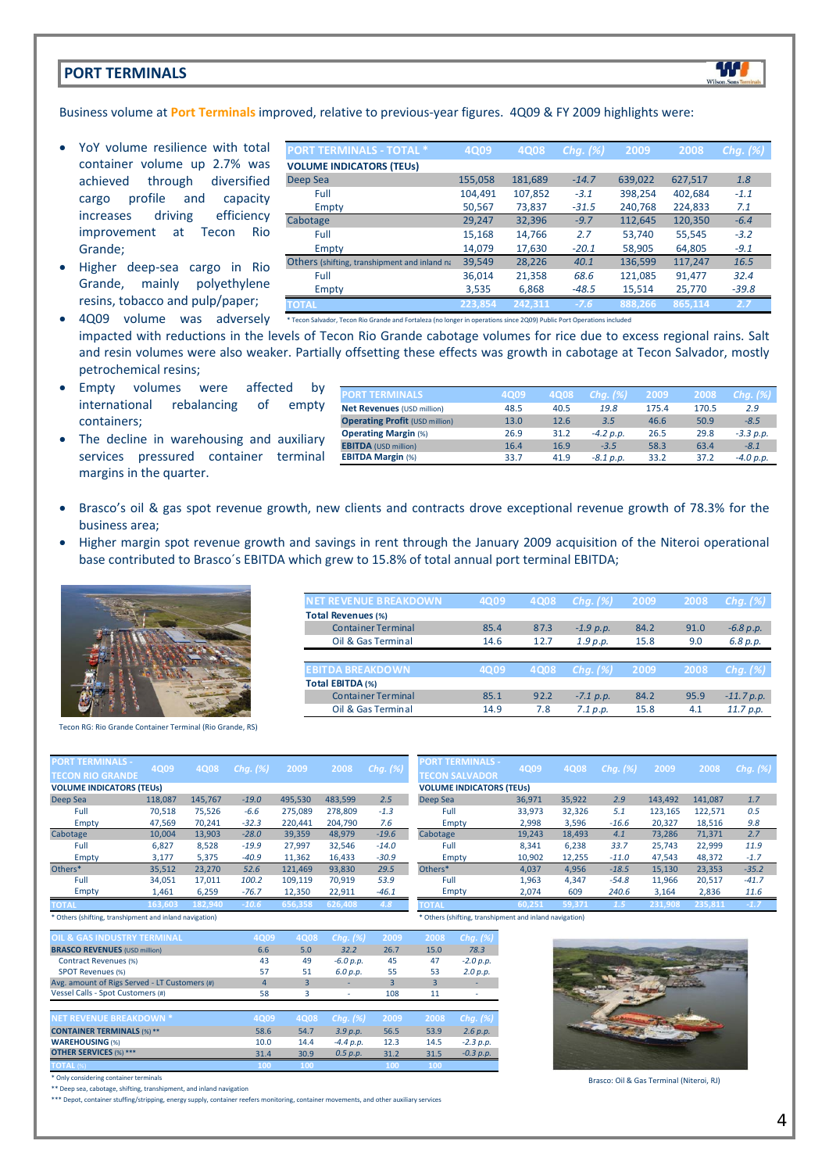## **PORT TERMINALS**



- YoY volume resilience with total container volume up 2.7% was achieved through diversified cargo profile and capacity increases driving efficiency improvement at Tecon Rio Grande;
- Higher deep‐sea cargo in Rio Grande, mainly polyethylene resins, tobacco and pulp/paper;

| <b>PORT TERMINALS - TOTAL *</b>                     | 4Q09    | 4Q08    | Chq. $(\%)$ | 2009    | 2008    | Chg. $(\%)$ |
|-----------------------------------------------------|---------|---------|-------------|---------|---------|-------------|
| <b>VOLUME INDICATORS (TEUS)</b>                     |         |         |             |         |         |             |
| Deep Sea                                            | 155,058 | 181,689 | $-14.7$     | 639,022 | 627,517 | 1.8         |
| Full                                                | 104,491 | 107,852 | $-3.1$      | 398,254 | 402,684 | $-1.1$      |
| Empty                                               | 50,567  | 73,837  | $-31.5$     | 240,768 | 224,833 | 7.1         |
| Cabotage                                            | 29,247  | 32,396  | $-9.7$      | 112,645 | 120,350 | $-6.4$      |
| Full                                                | 15,168  | 14,766  | 2.7         | 53,740  | 55,545  | $-3.2$      |
| Empty                                               | 14,079  | 17,630  | $-20.1$     | 58,905  | 64,805  | $-9.1$      |
| <b>Others</b> (shifting, transhipment and inland na | 39,549  | 28,226  | 40.1        | 136,599 | 117,247 | 16.5        |
| Full                                                | 36,014  | 21,358  | 68.6        | 121,085 | 91,477  | 32.4        |
| Empty                                               | 3,535   | 6,868   | $-48.5$     | 15,514  | 25,770  | $-39.8$     |
| <b>TOTAL</b>                                        | 223,854 | 242,311 | $-7.6$      | 888.266 | 865,114 | 2.7         |

W

• 4Q09 volume was adversely \* Tecon Salvador, Tecon Rio Grande and Fortaleza (no longer in operations since 2009) Public Port Operations included

impacted with reductions in the levels of Tecon Rio Grande cabotage volumes for rice due to excess regional rains. Salt and resin volumes were also weaker. Partially offsetting these effects was growth in cabotage at Tecon Salvador, mostly petrochemical resins;

- Empty volumes were affected by international rebalancing of empty containers;
- The decline in warehousing and auxiliary services pressured container terminal margins in the quarter.

| <b>PORT TERMINALS</b>                 | 4Q09 | 4Q08 | $Chq.$ $(\%)$ | 2009  | 2008  | Chg. $(\%)$ |
|---------------------------------------|------|------|---------------|-------|-------|-------------|
| <b>Net Revenues (USD million)</b>     | 48.5 | 40.5 | 19.8          | 175.4 | 170.5 | 2.9         |
| <b>Operating Profit (USD million)</b> | 13.0 | 12.6 | 3.5           | 46.6  | 50.9  | $-8.5$      |
| <b>Operating Margin (%)</b>           | 26.9 | 31.2 | $-4.2 p.p.$   | 26.5  | 29.8  | $-3.3$ p.p. |
| <b>EBITDA</b> (USD million)           | 16.4 | 16.9 | $-3.5$        | 58.3  | 63.4  | $-8.1$      |
| <b>EBITDA Margin (%)</b>              | 33.7 | 41.9 | $-8.1 p.p.$   | 33.2  | 37.2  | $-4.0 p.p.$ |
|                                       |      |      |               |       |       |             |

**NET REVENUE BREAKDOWN 4Q09 4Q08** *Chg. (%)* **2009 2008** *Chg. (%)*

Container Terminal 85.4 87.3 *‐1.9 p.p.* 84.2 91.0 *‐6.8 p.p.* Oil & Gas Terminal 14.6 12.7 *1.9 p.p.* 15.8 9.0 *6.8 p.p.*

Container Terminal 85.1 92.2 *– 7.1 p.p.* 84.2 95.9 *– 11.7 p.p.*<br>
Cil & Gas Terminal 14.9 7.8 7.1 *p.p.* 15.8 4.1 11.7 *p.p.* 

**EBITDA BREAKDOWN 4Q09 4Q08** *Chg. (%)* **2009 2008** *Chg. (%)*

Oil & Gas Terminal 14.9 7.8 *7.1 p.p.* 15.8 4.1 *11.7 p.p.*

- Brasco's oil & gas spot revenue growth, new clients and contracts drove exceptional revenue growth of 78.3% for the business area;
- Higher margin spot revenue growth and savings in rent through the January 2009 acquisition of the Niteroi operational base contributed to Brasco´s EBITDA which grew to 15.8% of total annual port terminal EBITDA;

**Total Revenues (%)**

**Total EBITDA (%)**



Tecon RG: Rio Grande Container Terminal (Rio Grande, RS)

| <b>PORT TERMINALS -</b><br><b>TECON RIO GRANDE</b> | 4Q09    | 4Q08    | Chg. (%) | 2009    | 2008    | Chg. $(%)$ |
|----------------------------------------------------|---------|---------|----------|---------|---------|------------|
| <b>VOLUME INDICATORS (TEUs)</b>                    |         |         |          |         |         |            |
| Deep Sea                                           | 118,087 | 145,767 | $-19.0$  | 495.530 | 483.599 | 2.5        |
| Full                                               | 70.518  | 75.526  | $-6.6$   | 275.089 | 278.809 | $-1.3$     |
| Empty                                              | 47,569  | 70.241  | $-32.3$  | 220.441 | 204.790 | 7.6        |
| Cabotage                                           | 10.004  | 13.903  | $-28.0$  | 39.359  | 48.979  | $-19.6$    |
| Full                                               | 6.827   | 8.528   | $-19.9$  | 27.997  | 32,546  | $-14.0$    |
| Empty                                              | 3,177   | 5.375   | $-40.9$  | 11,362  | 16,433  | $-30.9$    |
| Others*                                            | 35.512  | 23,270  | 52.6     | 121.469 | 93.830  | 29.5       |
| Full                                               | 34.051  | 17,011  | 100.2    | 109.119 | 70.919  | 53.9       |
| Empty                                              | 1,461   | 6,259   | $-76.7$  | 12,350  | 22,911  | $-46.1$    |
| <b>TOTAL</b>                                       | 163.603 | 182.940 | $-10.6$  | 656.358 | 626.408 | 4.8        |

\* Others (shifting, transhipment and inland navigation)

| <b>OIL &amp; GAS INDUSTRY TERMINAL</b>        | 4Q09 | 4Q08                    | Chq. $(%)$  | 2009 | 2008 | Chg. $(%)$  |
|-----------------------------------------------|------|-------------------------|-------------|------|------|-------------|
| <b>BRASCO REVENUES (USD million)</b>          | 6.6  | 5.0                     | 32.2        | 26.7 | 15.0 | 78.3        |
| <b>Contract Revenues (%)</b>                  | 43   | 49                      | $-6.0 p.p.$ | 45   | 47   | $-2.0 p.p.$ |
| <b>SPOT Revenues (%)</b>                      | 57   | 51                      | 6.0 p.p.    | 55   | 53   | 2.0 p.p.    |
| Avg. amount of Rigs Served - LT Customers (#) | 4    | $\overline{\mathbf{3}}$ |             | 3    | 3    |             |
| Vessel Calls - Spot Customers (#)             | 58   | 3                       |             | 108  | 11   |             |
|                                               |      |                         |             |      |      |             |
| <b>NET REVENUE BREAKDOWN *</b>                | 4Q09 | 4Q08                    | Chq. $(%)$  | 2009 | 2008 | Chg. $(%)$  |
| <b>CONTAINER TERMINALS (%)**</b>              | 58.6 | 54.7                    | 3.9 p.p.    | 56.5 | 53.9 | 2.6 p.p.    |
| <b>WAREHOUSING (%)</b>                        | 10.0 | 14.4                    | $-4.4 p.p.$ | 12.3 | 14.5 | $-2.3 p.p.$ |
| <b>OTHER SERVICES (%) ***</b>                 | 31.4 | 30.9                    | 0.5 p.p.    | 31.2 | 31.5 | $-0.3$ p.p. |
| <b>TOTAL (%)</b>                              | 100  | 100                     |             | 100  | 100  |             |
| * Only considering container terminals        |      |                         |             |      |      |             |



\* Others (shifting, transhipment and inland navigation)



Brasco: Oil & Gas Terminal (Niteroi, RJ)

\*\* Deep sea, cabotage, shifting, transhipment, and inland navigation

\*\*\* Depot, container stuffing/stripping, energy supply, container reefers monitoring, container movements, and other auxiliary services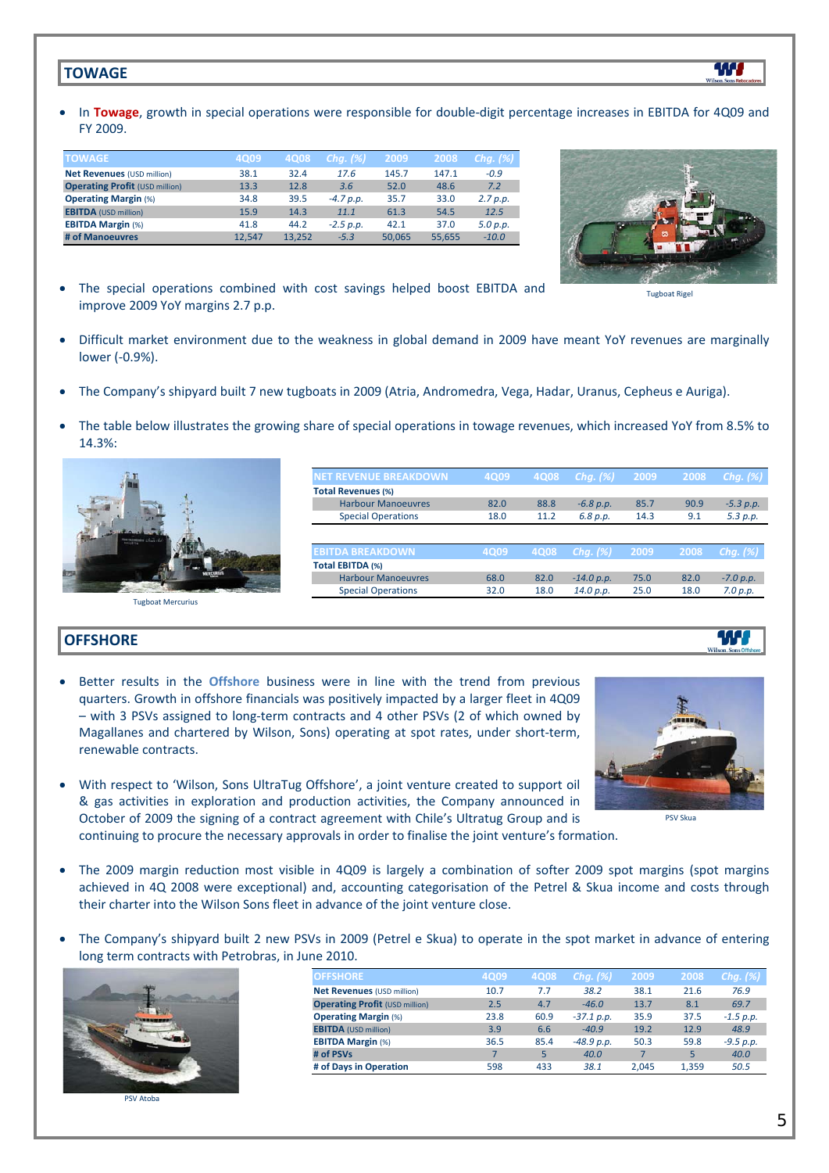## **TOWAGE**

In Towage, growth in special operations were responsible for double-digit percentage increases in EBITDA for 4Q09 and FY 2009.

| <b>TOWAGE</b>                         | 4Q09   | 4Q08   | Chg. $(\%)$ | 2009   | 2008   | Chg. $(\%)$ |
|---------------------------------------|--------|--------|-------------|--------|--------|-------------|
| <b>Net Revenues (USD million)</b>     | 38.1   | 32.4   | 17.6        | 145.7  | 147.1  | $-0.9$      |
| <b>Operating Profit (USD million)</b> | 13.3   | 12.8   | 3.6         | 52.0   | 48.6   | 7.2         |
| <b>Operating Margin (%)</b>           | 34.8   | 39.5   | $-4.7 p.p.$ | 35.7   | 33.0   | 2.7 p.p.    |
| <b>EBITDA</b> (USD million)           | 15.9   | 14.3   | 11.1        | 61.3   | 54.5   | 12.5        |
| <b>EBITDA Margin (%)</b>              | 41.8   | 44.2   | $-2.5$ p.p. | 42.1   | 37.0   | 5.0 p.p.    |
| # of Manoeuvres                       | 12.547 | 13.252 | $-5.3$      | 50.065 | 55.655 | $-10.0$     |



W

Tugboat Rigel

- The special operations combined with cost savings helped boost EBITDA and improve 2009 YoY margins 2.7 p.p.
- Difficult market environment due to the weakness in global demand in 2009 have meant YoY revenues are marginally lower (‐0.9%).
- The Company's shipyard built 7 new tugboats in 2009 (Atria, Andromedra, Vega, Hadar, Uranus, Cepheus e Auriga).
- The table below illustrates the growing share of special operations in towage revenues, which increased YoY from 8.5% to 14.3%:



## **OFFSHORE**

- Better results in the **Offshore** business were in line with the trend from previous quarters. Growth in offshore financials was positively impacted by a larger fleet in 4Q09 – with 3 PSVs assigned to long‐term contracts and 4 other PSVs (2 of which owned by Magallanes and chartered by Wilson, Sons) operating at spot rates, under short-term, renewable contracts.
- With respect to 'Wilson, Sons UltraTug Offshore', a joint venture created to support oil & gas activities in exploration and production activities, the Company announced in October of 2009 the signing of a contract agreement with Chile's Ultratug Group and is continuing to procure the necessary approvals in order to finalise the joint venture's formation.



PSV Skua

- The 2009 margin reduction most visible in 4Q09 is largely a combination of softer 2009 spot margins (spot margins achieved in 4Q 2008 were exceptional) and, accounting categorisation of the Petrel & Skua income and costs through their charter into the Wilson Sons fleet in advance of the joint venture close.
- The Company's shipyard built 2 new PSVs in 2009 (Petrel e Skua) to operate in the spot market in advance of entering long term contracts with Petrobras, in June 2010.



PSV Atoba

| <b>OFFSHORE</b>                       | 4Q09 | 4Q08 | Chg. $(\%)$  | 2009  | 2008  | Chg. (%)    |
|---------------------------------------|------|------|--------------|-------|-------|-------------|
| Net Revenues (USD million)            | 10.7 | 7.7  | 38.2         | 38.1  | 21.6  | 76.9        |
| <b>Operating Profit (USD million)</b> | 2.5  | 4.7  | $-46.0$      | 13.7  | 8.1   | 69.7        |
| <b>Operating Margin (%)</b>           | 23.8 | 60.9 | $-37.1 p.p.$ | 35.9  | 37.5  | $-1.5 p.p.$ |
| <b>EBITDA</b> (USD million)           | 3.9  | 6.6  | $-40.9$      | 19.2  | 12.9  | 48.9        |
| <b>EBITDA Margin (%)</b>              | 36.5 | 85.4 | $-48.9 p.p.$ | 50.3  | 59.8  | $-9.5 p.p.$ |
| # of PSVs                             | 7    | 5    | 40.0         |       | 5     | 40.0        |
| # of Days in Operation                | 598  | 433  | 38.1         | 2.045 | 1.359 | 50.5        |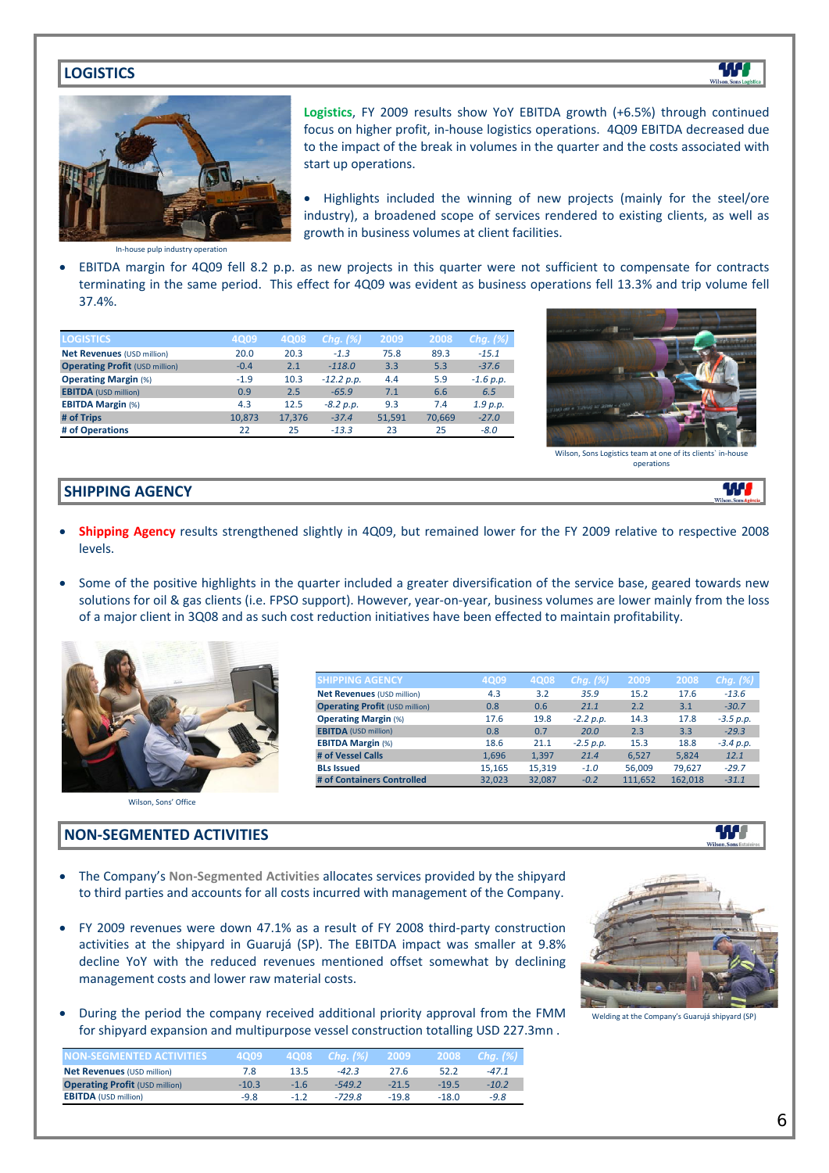## **LOGISTICS**



**Logistics**, FY 2009 results show YoY EBITDA growth (+6.5%) through continued focus on higher profit, in‐house logistics operations. 4Q09 EBITDA decreased due to the impact of the break in volumes in the quarter and the costs associated with start up operations.

• Highlights included the winning of new projects (mainly for the steel/ore industry), a broadened scope of services rendered to existing clients, as well as growth in business volumes at client facilities.

In‐house pulp industry operation

 EBITDA margin for 4Q09 fell 8.2 p.p. as new projects in this quarter were not sufficient to compensate for contracts terminating in the same period. This effect for 4Q09 was evident as business operations fell 13.3% and trip volume fell 37.4%.

| <b>LOGISTICS</b>                      | 4Q09   | 4Q08   | Chg. $(%)$   | 2009   | 2008   | Chg. $(%)$  |
|---------------------------------------|--------|--------|--------------|--------|--------|-------------|
| <b>Net Revenues (USD million)</b>     | 20.0   | 20.3   | $-1.3$       | 75.8   | 89.3   | $-15.1$     |
| <b>Operating Profit (USD million)</b> | $-0.4$ | 2.1    | $-118.0$     | 3.3    | 5.3    | $-37.6$     |
| <b>Operating Margin (%)</b>           | $-1.9$ | 10.3   | $-12.2 p.p.$ | 4.4    | 5.9    | $-1.6 p.p.$ |
| <b>EBITDA</b> (USD million)           | 0.9    | 2.5    | $-65.9$      | 7.1    | 6.6    | 6.5         |
| <b>EBITDA Margin (%)</b>              | 4.3    | 12.5   | $-8.2 p.p.$  | 9.3    | 7.4    | 1.9 p.p.    |
| # of Trips                            | 10.873 | 17,376 | $-37.4$      | 51,591 | 70.669 | $-27.0$     |
| # of Operations                       | 22     | 25     | $-13.3$      | 23     | 25     | $-8.0$      |



W

W

Wilson, Sons Logistics team at one of its clients operations

#### **SHIPPING AGENCY**

- **Shipping Agency** results strengthened slightly in 4Q09, but remained lower for the FY 2009 relative to respective 2008 levels.
- Some of the positive highlights in the quarter included a greater diversification of the service base, geared towards new solutions for oil & gas clients (i.e. FPSO support). However, year-on-year, business volumes are lower mainly from the loss of a major client in 3Q08 and as such cost reduction initiatives have been effected to maintain profitability.



| <b>SHIPPING AGENCY</b>                | 4Q09   | 4Q08   | Chg. $(%)$  | 2009    | 2008    | Chg. $(\%)$ |
|---------------------------------------|--------|--------|-------------|---------|---------|-------------|
| Net Revenues (USD million)            | 4.3    | 3.2    | 35.9        | 15.2    | 17.6    | $-13.6$     |
| <b>Operating Profit (USD million)</b> | 0.8    | 0.6    | 21.1        | 2.2     | 3.1     | $-30.7$     |
| <b>Operating Margin (%)</b>           | 17.6   | 19.8   | $-2.2 p.p.$ | 14.3    | 17.8    | $-3.5 p.p.$ |
| <b>EBITDA</b> (USD million)           | 0.8    | 0.7    | 20.0        | 2.3     | 3.3     | $-29.3$     |
| <b>EBITDA Margin (%)</b>              | 18.6   | 21.1   | $-2.5 p.p.$ | 15.3    | 18.8    | $-3.4 p.p.$ |
| # of Vessel Calls                     | 1,696  | 1,397  | 21.4        | 6.527   | 5,824   | 12.1        |
| <b>BLs Issued</b>                     | 15.165 | 15.319 | $-1.0$      | 56,009  | 79.627  | $-29.7$     |
| # of Containers Controlled            | 32.023 | 32.087 | $-0.2$      | 111.652 | 162.018 | $-31.1$     |

Wilson, Sons' Office

## **NON‐SEGMENTED ACTIVITIES**

- The Company's **Non‐Segmented Activities** allocates services provided by the shipyard to third parties and accounts for all costs incurred with management of the Company.
- FY 2009 revenues were down 47.1% as a result of FY 2008 third‐party construction activities at the shipyard in Guarujá (SP). The EBITDA impact was smaller at 9.8% decline YoY with the reduced revenues mentioned offset somewhat by declining management costs and lower raw material costs.
- During the period the company received additional priority approval from the FMM for shipyard expansion and multipurpose vessel construction totalling USD 227.3mn .



W

| <b>NON-SEGMENTED ACTIVITIES</b>       | 4009    | ∕4Q08⊿ | $Chq.$ (%) | 2009    | 2008    | Cha. (%) |
|---------------------------------------|---------|--------|------------|---------|---------|----------|
| <b>Net Revenues (USD million)</b>     | 7.8     | 13.5   | $-42.3$    | 27.6    | 52.2    | $-47.1$  |
| <b>Operating Profit (USD million)</b> | $-10.3$ | $-1.6$ | $-549.2$   | $-21.5$ | $-19.5$ | $-10.2$  |
| <b>EBITDA</b> (USD million)           | $-9.8$  | $-12$  | $-729.8$   | $-19.8$ | $-18.0$ | $-9.8$   |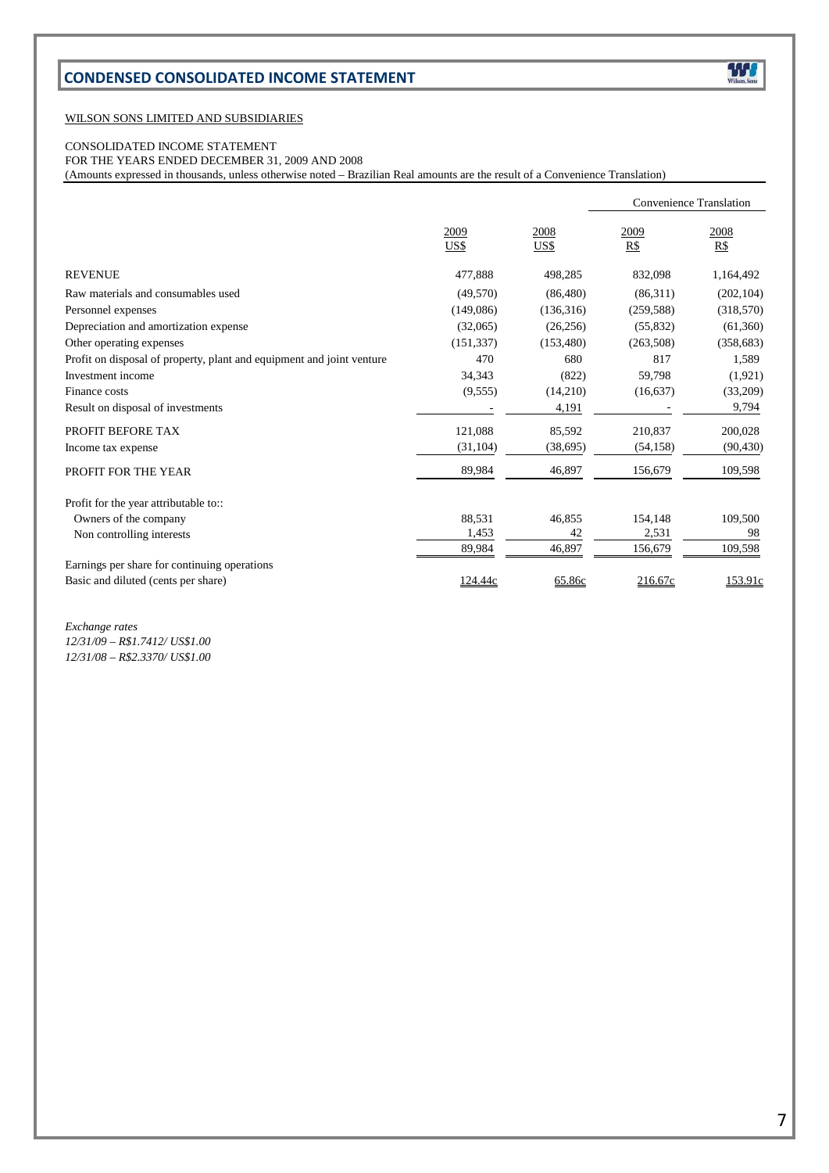# **CONDENSED CONSOLIDATED INCOME STATEMENT**

#### WILSON SONS LIMITED AND SUBSIDIARIES

## CONSOLIDATED INCOME STATEMENT

FOR THE YEARS ENDED DECEMBER 31, 2009 AND 2008

(Amounts expressed in thousands, unless otherwise noted – Brazilian Real amounts are the result of a Convenience Translation)

|                                                                       |              |              |             | <b>Convenience Translation</b> |
|-----------------------------------------------------------------------|--------------|--------------|-------------|--------------------------------|
|                                                                       | 2009<br>US\$ | 2008<br>US\$ | 2009<br>R\$ | 2008<br>R\$                    |
| <b>REVENUE</b>                                                        | 477,888      | 498,285      | 832,098     | 1,164,492                      |
| Raw materials and consumables used                                    | (49,570)     | (86, 480)    | (86,311)    | (202, 104)                     |
| Personnel expenses                                                    | (149,086)    | (136,316)    | (259, 588)  | (318,570)                      |
| Depreciation and amortization expense                                 | (32,065)     | (26, 256)    | (55,832)    | (61,360)                       |
| Other operating expenses                                              | (151, 337)   | (153, 480)   | (263,508)   | (358, 683)                     |
| Profit on disposal of property, plant and equipment and joint venture | 470          | 680          | 817         | 1,589                          |
| Investment income                                                     | 34,343       | (822)        | 59,798      | (1,921)                        |
| Finance costs                                                         | (9,555)      | (14,210)     | (16, 637)   | (33,209)                       |
| Result on disposal of investments                                     |              | 4,191        |             | 9,794                          |
| PROFIT BEFORE TAX                                                     | 121,088      | 85,592       | 210,837     | 200,028                        |
| Income tax expense                                                    | (31, 104)    | (38, 695)    | (54, 158)   | (90, 430)                      |
| PROFIT FOR THE YEAR                                                   | 89,984       | 46,897       | 156,679     | 109,598                        |
| Profit for the year attributable to::                                 |              |              |             |                                |
| Owners of the company                                                 | 88,531       | 46,855       | 154,148     | 109,500                        |
| Non controlling interests                                             | 1,453        | 42           | 2,531       | 98                             |
|                                                                       | 89,984       | 46,897       | 156,679     | 109,598                        |
| Earnings per share for continuing operations                          |              |              |             |                                |
| Basic and diluted (cents per share)                                   | 124.44c      | 65.86c       | 216.67c     | 153.91c                        |

*Exchange rates*

*12/31/09 – R\$1.7412/ US\$1.00 12/31/08 – R\$2.3370/ US\$1.00*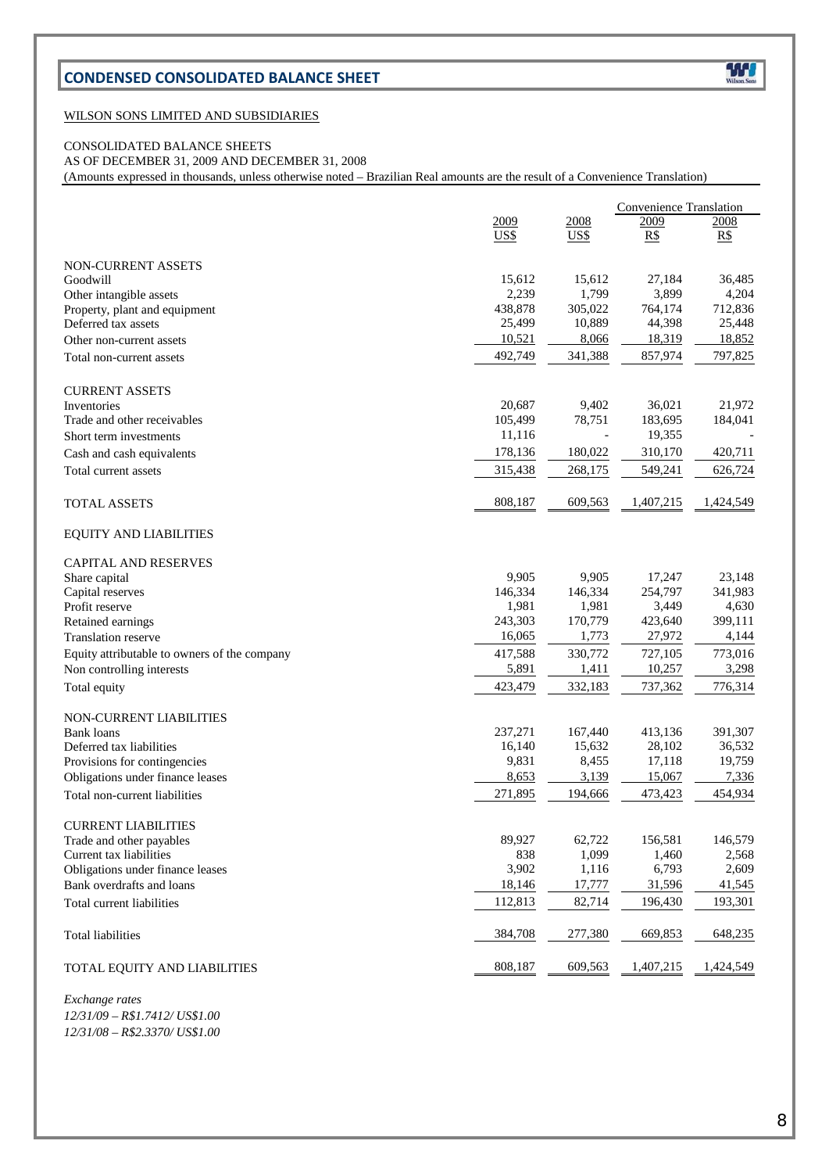# **CONDENSED CONSOLIDATED BALANCE SHEET**



#### WILSON SONS LIMITED AND SUBSIDIARIES

## CONSOLIDATED BALANCE SHEETS

AS OF DECEMBER 31, 2009 AND DECEMBER 31, 2008

(Amounts expressed in thousands, unless otherwise noted – Brazilian Real amounts are the result of a Convenience Translation)

| <b>NON-CURRENT ASSETS</b><br>Goodwill<br>Other intangible assets<br>Property, plant and equipment<br>Deferred tax assets | 2009<br>US\$<br>15,612<br>2,239<br>438,878<br>25,499<br>10,521<br>492,749 | 2008<br>US\$<br>15,612<br>1,799<br>305,022<br>10,889 | 2009<br>R\$<br>27,184<br>3,899<br>764,174 | 2008<br>R\$<br>36,485<br>4,204 |
|--------------------------------------------------------------------------------------------------------------------------|---------------------------------------------------------------------------|------------------------------------------------------|-------------------------------------------|--------------------------------|
|                                                                                                                          |                                                                           |                                                      |                                           |                                |
|                                                                                                                          |                                                                           |                                                      |                                           |                                |
|                                                                                                                          |                                                                           |                                                      |                                           |                                |
|                                                                                                                          |                                                                           |                                                      |                                           |                                |
|                                                                                                                          |                                                                           |                                                      |                                           |                                |
|                                                                                                                          |                                                                           |                                                      |                                           | 712,836                        |
| Other non-current assets                                                                                                 |                                                                           |                                                      | 44,398<br>18,319                          | 25,448<br>18,852               |
|                                                                                                                          |                                                                           | 8,066<br>341,388                                     |                                           | 797,825                        |
| Total non-current assets                                                                                                 |                                                                           |                                                      | 857,974                                   |                                |
| <b>CURRENT ASSETS</b>                                                                                                    |                                                                           |                                                      |                                           |                                |
| Inventories                                                                                                              | 20,687                                                                    | 9,402                                                | 36,021                                    | 21,972                         |
| Trade and other receivables                                                                                              | 105,499                                                                   | 78,751                                               | 183,695                                   | 184,041                        |
| Short term investments                                                                                                   | 11,116                                                                    |                                                      | 19,355                                    |                                |
| Cash and cash equivalents                                                                                                | 178,136                                                                   | 180,022                                              | 310,170                                   | 420,711                        |
| Total current assets                                                                                                     | 315,438                                                                   | 268,175                                              | 549,241                                   | 626,724                        |
|                                                                                                                          |                                                                           |                                                      |                                           |                                |
| <b>TOTAL ASSETS</b>                                                                                                      | 808,187                                                                   | 609,563                                              | 1,407,215                                 | 1,424,549                      |
| <b>EQUITY AND LIABILITIES</b>                                                                                            |                                                                           |                                                      |                                           |                                |
| <b>CAPITAL AND RESERVES</b>                                                                                              |                                                                           |                                                      |                                           |                                |
| Share capital                                                                                                            | 9,905                                                                     | 9,905                                                | 17,247                                    | 23,148                         |
| Capital reserves                                                                                                         | 146.334                                                                   | 146,334                                              | 254,797                                   | 341.983                        |
| Profit reserve                                                                                                           | 1,981                                                                     | 1,981                                                | 3,449                                     | 4,630                          |
| Retained earnings                                                                                                        | 243,303<br>16,065                                                         | 170,779<br>1,773                                     | 423,640<br>27,972                         | 399,111<br>4,144               |
| <b>Translation reserve</b>                                                                                               |                                                                           | 330,772                                              |                                           |                                |
| Equity attributable to owners of the company<br>Non controlling interests                                                | 417,588<br>5,891                                                          | 1,411                                                | 727,105<br>10,257                         | 773,016<br>3,298               |
|                                                                                                                          | 423,479                                                                   | 332,183                                              | 737,362                                   | 776,314                        |
| Total equity                                                                                                             |                                                                           |                                                      |                                           |                                |
| NON-CURRENT LIABILITIES                                                                                                  |                                                                           |                                                      |                                           |                                |
| <b>Bank</b> loans                                                                                                        | 237,271                                                                   | 167,440                                              | 413,136                                   | 391,307                        |
| Deferred tax liabilities                                                                                                 | 16,140<br>9,831                                                           | 15,632<br>8,455                                      | 28,102<br>17,118                          | 36,532<br>19,759               |
| Provisions for contingencies<br>Obligations under finance leases                                                         | 8,653                                                                     | 3,139                                                | 15,067                                    | 7,336                          |
| Total non-current liabilities                                                                                            | 271,895                                                                   | 194,666                                              | 473,423                                   | 454,934                        |
|                                                                                                                          |                                                                           |                                                      |                                           |                                |
| <b>CURRENT LIABILITIES</b>                                                                                               |                                                                           |                                                      |                                           |                                |
| Trade and other payables                                                                                                 | 89,927                                                                    | 62,722                                               | 156,581                                   | 146,579                        |
| Current tax liabilities                                                                                                  | 838                                                                       | 1,099                                                | 1,460                                     | 2,568                          |
| Obligations under finance leases                                                                                         | 3,902                                                                     | 1,116                                                | 6,793                                     | 2,609                          |
| Bank overdrafts and loans                                                                                                | 18,146                                                                    | 17,777                                               | 31,596                                    | 41,545                         |
| Total current liabilities                                                                                                | 112,813                                                                   | 82,714                                               | 196,430                                   | 193,301                        |
| Total liabilities                                                                                                        | 384,708                                                                   | 277,380                                              | 669,853                                   | 648,235                        |
| TOTAL EQUITY AND LIABILITIES                                                                                             | 808,187                                                                   | 609,563                                              | 1,407,215                                 | 1,424,549                      |

 $Exchange$  rates *12/31/09 – R\$1.7412/ US\$1.00 12/31/08 – R\$2.3370/ US\$1.00*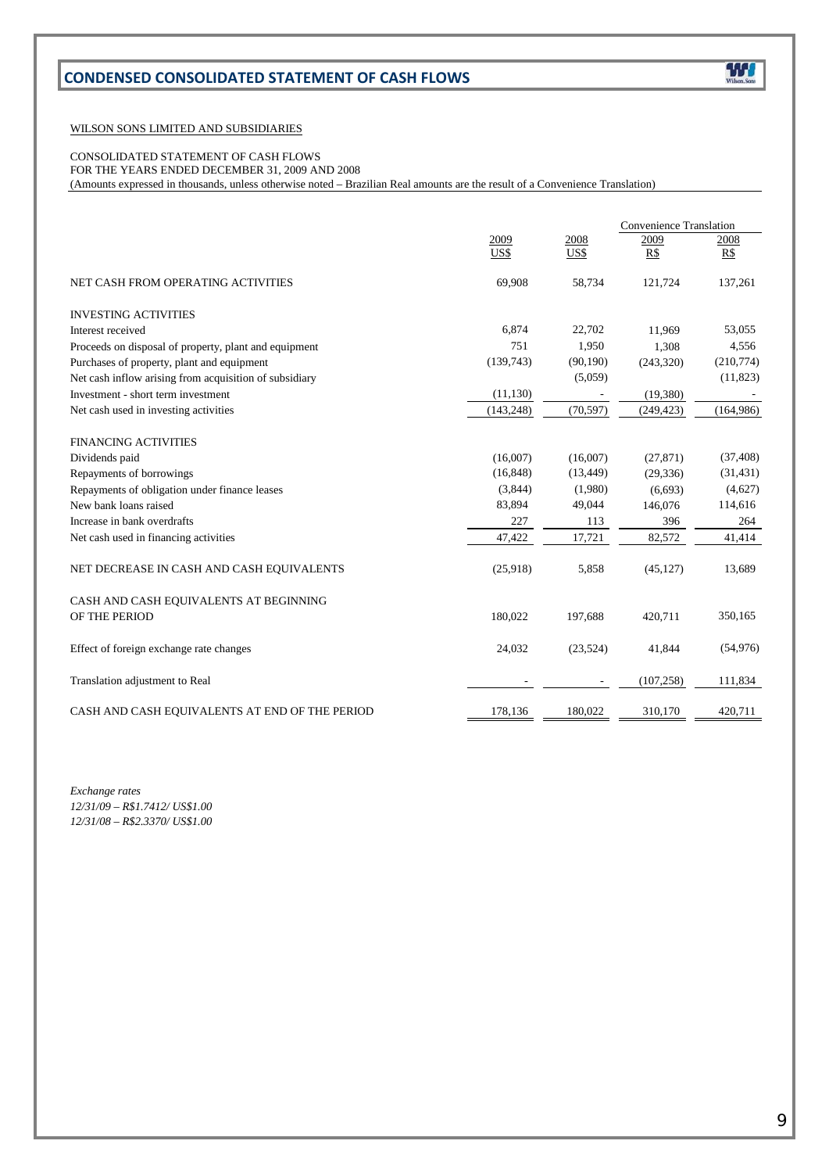# **CONDENSED CONSOLIDATED STATEMENT OF CASH FLOWS**

#### WILSON SONS LIMITED AND SUBSIDIARIES

CONSOLIDATED STATEMENT OF CASH FLOWS

FOR THE YEARS ENDED DECEMBER 31, 2009 AND 2008

(Amounts expressed in thousands, unless otherwise noted – Brazilian Real amounts are the result of a Convenience Translation)

|                                                        |              |              | Convenience Translation |             |  |
|--------------------------------------------------------|--------------|--------------|-------------------------|-------------|--|
|                                                        | 2009<br>US\$ | 2008<br>US\$ | 2009<br>R\$             | 2008<br>R\$ |  |
|                                                        |              |              |                         |             |  |
| NET CASH FROM OPERATING ACTIVITIES                     | 69,908       | 58,734       | 121,724                 | 137,261     |  |
| <b>INVESTING ACTIVITIES</b>                            |              |              |                         |             |  |
| Interest received                                      | 6,874        | 22,702       | 11.969                  | 53,055      |  |
| Proceeds on disposal of property, plant and equipment  | 751          | 1,950        | 1,308                   | 4,556       |  |
| Purchases of property, plant and equipment             | (139,743)    | (90, 190)    | (243, 320)              | (210,774)   |  |
| Net cash inflow arising from acquisition of subsidiary |              | (5,059)      |                         | (11, 823)   |  |
| Investment - short term investment                     | (11, 130)    |              | (19,380)                |             |  |
| Net cash used in investing activities                  | (143, 248)   | (70, 597)    | (249, 423)              | (164,986)   |  |
| <b>FINANCING ACTIVITIES</b>                            |              |              |                         |             |  |
| Dividends paid                                         | (16,007)     | (16,007)     | (27, 871)               | (37, 408)   |  |
| Repayments of borrowings                               | (16, 848)    | (13, 449)    | (29, 336)               | (31, 431)   |  |
| Repayments of obligation under finance leases          | (3,844)      | (1,980)      | (6,693)                 | (4,627)     |  |
| New bank loans raised                                  | 83,894       | 49,044       | 146,076                 | 114,616     |  |
| Increase in bank overdrafts                            | 227          | 113          | 396                     | 264         |  |
| Net cash used in financing activities                  | 47,422       | 17,721       | 82,572                  | 41,414      |  |
| NET DECREASE IN CASH AND CASH EQUIVALENTS              | (25,918)     | 5,858        | (45, 127)               | 13,689      |  |
| CASH AND CASH EQUIVALENTS AT BEGINNING                 |              |              |                         |             |  |
| OF THE PERIOD                                          | 180,022      | 197,688      | 420,711                 | 350,165     |  |
| Effect of foreign exchange rate changes                | 24,032       | (23,524)     | 41,844                  | (54, 976)   |  |
| Translation adjustment to Real                         |              |              | (107, 258)              | 111,834     |  |
| CASH AND CASH EQUIVALENTS AT END OF THE PERIOD         | 178.136      | 180.022      | 310,170                 | 420.711     |  |

*Exchange rates 12/31/09 – R\$1.7412/ US\$1.00 12/31/08 – R\$2.3370/ US\$1.00*